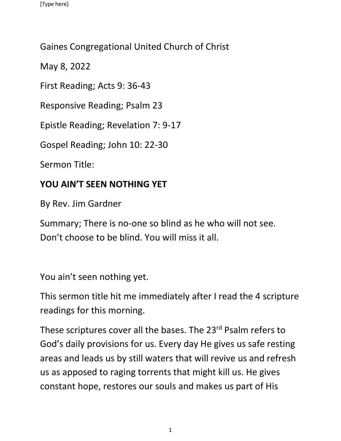## Gaines Congregational United Church of Christ

May 8, 2022

First Reading; Acts 9: 36-43

Responsive Reading; Psalm 23

Epistle Reading; Revelation 7: 9-17

Gospel Reading; John 10: 22-30

Sermon Title:

## **YOU AIN'T SEEN NOTHING YET**

By Rev. Jim Gardner

Summary; There is no-one so blind as he who will not see. Don't choose to be blind. You will miss it all.

You ain't seen nothing yet.

This sermon title hit me immediately after I read the 4 scripture readings for this morning.

These scriptures cover all the bases. The 23<sup>rd</sup> Psalm refers to God's daily provisions for us. Every day He gives us safe resting areas and leads us by still waters that will revive us and refresh us as apposed to raging torrents that might kill us. He gives constant hope, restores our souls and makes us part of His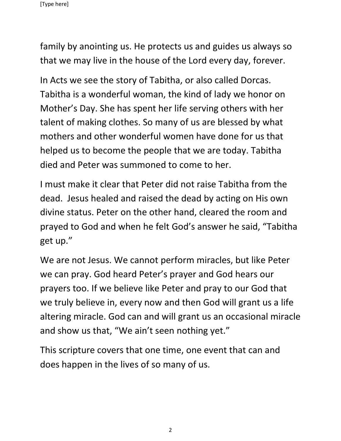family by anointing us. He protects us and guides us always so that we may live in the house of the Lord every day, forever.

In Acts we see the story of Tabitha, or also called Dorcas. Tabitha is a wonderful woman, the kind of lady we honor on Mother's Day. She has spent her life serving others with her talent of making clothes. So many of us are blessed by what mothers and other wonderful women have done for us that helped us to become the people that we are today. Tabitha died and Peter was summoned to come to her.

I must make it clear that Peter did not raise Tabitha from the dead. Jesus healed and raised the dead by acting on His own divine status. Peter on the other hand, cleared the room and prayed to God and when he felt God's answer he said, "Tabitha get up."

We are not Jesus. We cannot perform miracles, but like Peter we can pray. God heard Peter's prayer and God hears our prayers too. If we believe like Peter and pray to our God that we truly believe in, every now and then God will grant us a life altering miracle. God can and will grant us an occasional miracle and show us that, "We ain't seen nothing yet."

This scripture covers that one time, one event that can and does happen in the lives of so many of us.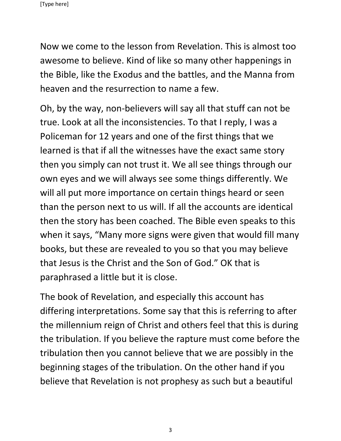Now we come to the lesson from Revelation. This is almost too awesome to believe. Kind of like so many other happenings in the Bible, like the Exodus and the battles, and the Manna from heaven and the resurrection to name a few.

Oh, by the way, non-believers will say all that stuff can not be true. Look at all the inconsistencies. To that I reply, I was a Policeman for 12 years and one of the first things that we learned is that if all the witnesses have the exact same story then you simply can not trust it. We all see things through our own eyes and we will always see some things differently. We will all put more importance on certain things heard or seen than the person next to us will. If all the accounts are identical then the story has been coached. The Bible even speaks to this when it says, "Many more signs were given that would fill many books, but these are revealed to you so that you may believe that Jesus is the Christ and the Son of God." OK that is paraphrased a little but it is close.

The book of Revelation, and especially this account has differing interpretations. Some say that this is referring to after the millennium reign of Christ and others feel that this is during the tribulation. If you believe the rapture must come before the tribulation then you cannot believe that we are possibly in the beginning stages of the tribulation. On the other hand if you believe that Revelation is not prophesy as such but a beautiful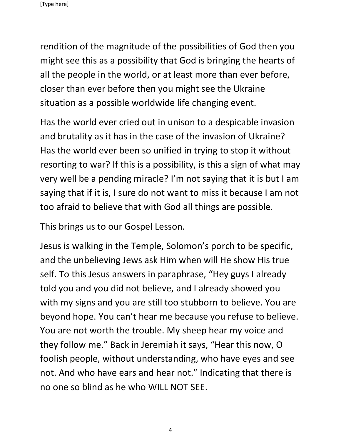rendition of the magnitude of the possibilities of God then you might see this as a possibility that God is bringing the hearts of all the people in the world, or at least more than ever before, closer than ever before then you might see the Ukraine situation as a possible worldwide life changing event.

Has the world ever cried out in unison to a despicable invasion and brutality as it has in the case of the invasion of Ukraine? Has the world ever been so unified in trying to stop it without resorting to war? If this is a possibility, is this a sign of what may very well be a pending miracle? I'm not saying that it is but I am saying that if it is, I sure do not want to miss it because I am not too afraid to believe that with God all things are possible.

This brings us to our Gospel Lesson.

Jesus is walking in the Temple, Solomon's porch to be specific, and the unbelieving Jews ask Him when will He show His true self. To this Jesus answers in paraphrase, "Hey guys I already told you and you did not believe, and I already showed you with my signs and you are still too stubborn to believe. You are beyond hope. You can't hear me because you refuse to believe. You are not worth the trouble. My sheep hear my voice and they follow me." Back in Jeremiah it says, "Hear this now, O foolish people, without understanding, who have eyes and see not. And who have ears and hear not." Indicating that there is no one so blind as he who WILL NOT SEE.

4